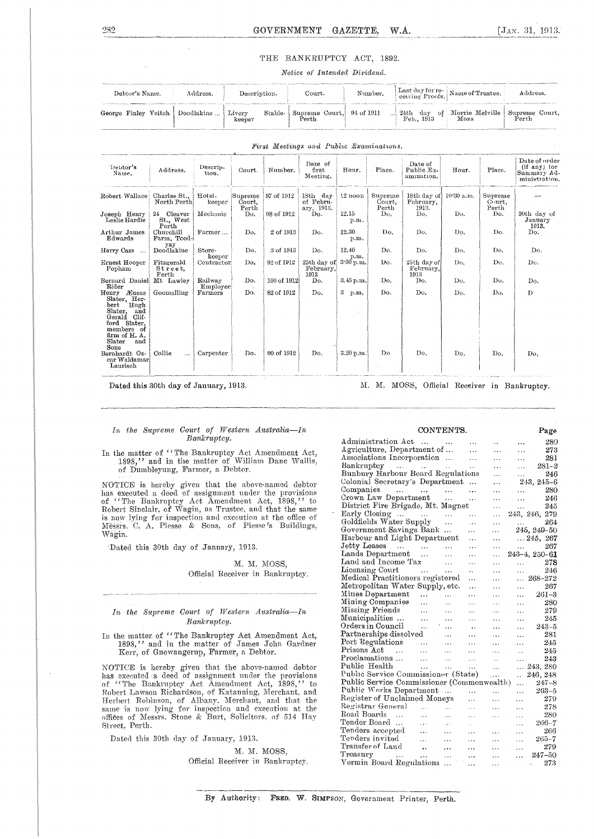## THE BANKRUPTCY ACT, 1892.

## *Notice of Intended Dividend.*

| Debtor's Name.       | Address.   | Description.                | Court.                                                                                               | Number. | Last day for re-<br>ceiving Proofs. Name of Trustee. | Address.                |
|----------------------|------------|-----------------------------|------------------------------------------------------------------------------------------------------|---------|------------------------------------------------------|-------------------------|
| George Finley Veitch | Doodlakine | Livery<br>Stable-<br>keeper | $\begin{array}{c c} \n\text{Supreme Court,} & 94 \text{ of } 1911 \\ \n\text{Perth} & \n\end{array}$ |         | 24th day of Morrie Melville                          | Supreme Court,<br>Perth |

| "Debtor's<br>Name.                                                                                                                                           | Address.                         | Descrip-<br>tion.    | Court.                     | Number.     | Date of<br>first<br>Meeting.        | Hour.                 | Place.                     | Date of<br>Public Ex-<br>amination. | Hour.      | Place.                     | Date of order<br>(if any) for<br>Summary Ad-<br>ministration. |
|--------------------------------------------------------------------------------------------------------------------------------------------------------------|----------------------------------|----------------------|----------------------------|-------------|-------------------------------------|-----------------------|----------------------------|-------------------------------------|------------|----------------------------|---------------------------------------------------------------|
| Robert Wallace                                                                                                                                               | Charles St.,<br>North Perth      | Hotel-<br>keeper     | Supreme<br>Court.<br>Perth | 97 of 1912  | 18th day<br>of Febru-<br>ary, 1913. | 12 noon               | Supreme<br>Court.<br>Perth | 18th day of<br>February,<br>1913.   | 10.30 a.m. | Supreme<br>Court.<br>Perth |                                                               |
| Joseph Henry<br>Leslie Hardie                                                                                                                                | 24 Cleaver<br>St., West<br>Perth | Mechanic             | Do.                        | 98 of 1912  | Do.                                 | 12.15<br>p.n.         | Do.                        | Do.                                 | Do.        | Do.                        | 30th day of<br>January<br>1913.                               |
| Arthur James<br>Edwards                                                                                                                                      | Churchill<br>Farm, Tood-         | Farmer               | Do.                        | 2 of 1913   | Do.                                 | 12.30<br>n.m.         | Do.                        | Do.                                 | Do.        | Do.                        | Do.                                                           |
| Harry Cass<br>$\ddotsc$                                                                                                                                      | yay<br>Doodlakine                | Store-               | Do.                        | 3 of 1913   | Do.                                 | 12.40                 | Do.                        | Do.                                 | Do.        | Do.                        | Do.                                                           |
| Ernest Hooper<br>Popham                                                                                                                                      | Fitzgerald<br>Street,<br>Perth   | keeper<br>Contractor | Do.                        | 92 of 1912  | 25th day of<br>February,<br>1913    | p.m.<br>$3.30$ p.m.   | Do.                        | 25th day of<br>February.<br>1913    | Do.        | Do.                        | Do.                                                           |
| Bernard Daniel<br>Rider                                                                                                                                      | Mt Lawley                        | Railway<br>Employee  | Do.                        | 100 of 1912 | Do.                                 | 3.45 p.m.             | Do.                        | Do.                                 | Do.        | Do.                        | Do.                                                           |
| Æneas<br>Henry<br>Slater, Her-<br>Hugh<br>bert<br>Slater,<br>and<br>Gerald<br>. Clif-<br>ford Slater.<br>members of<br>firm of H.A.<br>Slater<br>and<br>Sons | Goomalling                       | Farmers              | Do.                        | 82 of 1912  | Do.                                 | $3 -$<br>p.m.         | Do.                        | Do.                                 | Do.        | Do.                        | $\mathbf{D}$                                                  |
| Bernhardt Os-<br>car Waldamar<br>Laurisch                                                                                                                    | Collie<br>$\cdots$               | Carpenter            | Do.                        | 90 of 1912  | Do.                                 | $3.20\,\mathrm{n.m.}$ | Do.                        | Do.                                 | Do.        | Do.                        | Do,                                                           |

*First Meetings au d Public Bsantinat'ioals.* 

Dated this 30th day of January, 1913. M. M. M. MOSS, Official Receiver in Bankruptcy.

|             |  |  |  |  |  | In the Supreme Court of Western Australia-In |  |  |
|-------------|--|--|--|--|--|----------------------------------------------|--|--|
| Bankruptcy. |  |  |  |  |  |                                              |  |  |

### In the matter of "The Bankruptcy Act Amendment Act, 1898," and in the matter of William Dane Wallis, of Dumbleyung, Farmer, a Debtor.

NOTICE is hereby given that the above-named debtor has executed a deed of assignment under the provisions of "The Bankruptcy Act Amendment Act, 1895," to Robert Sinclair, of Wagin, as Trustee, and that the same is now lying for inspection and execution at the office of Messrs. C. A. Piesse & Sons, of Piesse's Buildings, Wagin.

Dated this 30th day of January, 1913.

## M. M. MOSS, Official Receiver in Bankruptcy.

## *In the Supreme Court of Western. Australia—In Bankruptcy.*

In the matter of "The Bankruptcy Act Amendment Act, 1898," and in the matter of James John Gardner Kerr, of Gnowangerup, Farmer, a Debtor.

NOTICE is hereby given that the above-named debtor has executed a deed of assignment under the provisions of "The Bankruptcy Act Amendment Act, 1898," to Robert Lawson Richardson, of Katanning, Merchant, and Herbert Robinson, of Albany. Merchant, and that the same is now lying for inspection and execution at the offides of Messrs. Stone & Burt, Solicitors. of 514 Hay Street, Perth.

Dated this 30th day of January, 1913,

M. M. MOSS, Official Receiver in Bankruptcy,

| CONTENTS.                                              |            |           |                      |                      |             |                     |  |
|--------------------------------------------------------|------------|-----------|----------------------|----------------------|-------------|---------------------|--|
| Administration Act                                     | $\cdots$   | $\ddotsc$ | $\ddotsc$            | $\ddot{\phantom{0}}$ | .           | 289                 |  |
| Agriculture, Department of                             |            |           | .                    | .                    | $\cdots$    | 273                 |  |
| Associations Incorporation                             |            |           | .                    | .                    | .           | 281                 |  |
| Bankruptcy<br>$\sim 1.4$ and $\sim 1.1$ and $\sim 1.4$ |            |           | $\ddotsc$            | $\ddotsc$            | $\ddotsc$   | $281 - 2$           |  |
| Bunbury Harbour Board Regulations                      |            |           |                      | .                    |             | 246                 |  |
| Colonial Secretary's Department                        |            |           |                      | .                    |             | $243, 245 - 6$      |  |
| Companies<br>بتداري المتداري المتدار                   |            |           |                      | .                    | .           | 280                 |  |
| Crown Law Department                                   |            | $\cdots$  | .                    | .                    | .           | 246                 |  |
| District Fire Brigade, Mt. Magnet                      |            |           |                      | .                    | $\ddotsc$   | 245                 |  |
| Early Closing                                          |            | .         | .                    | .                    |             | 243, 246, 279       |  |
| Goldfields Water Supply                                |            | .         | .                    | .                    | $\cdots$    | 264                 |  |
| Government Savings Bank                                |            | $\ddotsc$ | .                    | $\cdots$             |             | 245, 249-50         |  |
| Harbour and Light Department                           |            |           | .                    | .                    |             | $\ldots$ 245, 267   |  |
| Jetty Leases<br><b>Contract Contract</b>               |            | $\ddotsc$ | .                    | .                    | aastronomia | 267                 |  |
| Lands Department                                       |            | .         | .                    | .                    |             | $243 - 4, 250 - 61$ |  |
| Land and Income Tax                                    |            | .         | $\ddotsc$            | $\ddotsc$            | $\ddotsc$   | 278                 |  |
| Licensing Court                                        | $\sim$ 100 | .         | $\ddot{\phantom{a}}$ | .                    | .           | 246                 |  |
| Medical Practitioners registered                       |            |           | .                    | .                    |             | $\ldots\ 268$ –272  |  |
| Metropolitan Water Supply, etc.                        |            |           | $\cdots$             | $\cdots$             | .           | 267                 |  |
| Mines Department                                       | .          | $\ddotsc$ | .                    | .                    | .           | 261–3               |  |
| Mining Companies                                       | $\ddotsc$  | .         | .                    | $\cdots$             | $\cdots$    | 280                 |  |
| Missing Friends                                        | $\ddotsc$  | $\ddotsc$ | $\ddotsc$            | $\cdots$             | $\cdots$    | 279                 |  |
| Municipalities                                         | .          | $\ddotsc$ | .                    | $\ddotsc$            | .           | 245                 |  |
| Orders in Council                                      | $\ddotsc$  | $\cdots$  | $\ddotsc$            | $\cdot$ .            | .           | $243 - 5$           |  |
| Partnerships dissolved                                 |            | $\cdots$  | .                    | .                    | .           | 281                 |  |
| Port Regulations                                       | $\ddotsc$  | .         |                      | .                    | $\cdots$    | 245                 |  |
| Prisons Act<br>$\cdots$                                | $\cdots$   | .         | .                    | $\ddotsc$            | $\ddotsc$   | 245                 |  |
| Proclamations                                          | $\ddotsc$  | $\ddotsc$ | .                    | $\ddotsc$            | $\cdots$    | 243                 |  |
| Public Health                                          | $\cdots$   | $\cdots$  | $\cdots$             | $\ddotsc$            | $\cdots$    | 243, 280            |  |
| Public Service Commissioner (State)                    |            |           |                      | ,                    | ä,          | 246, 248            |  |
| Public Service Commissioner (Commonwealth)             |            |           |                      |                      | .           | 247–8               |  |
| Public Works Department                                |            |           |                      | $\ddotsc$            | .           | $263 - 5$           |  |
| Register of Unclaimed Moneys                           |            |           | $\cdots$             | $\cdots$             | $\cdots$    | 279                 |  |
| Registrar General                                      | $\ddotsc$  | $\ddotsc$ | $\ddotsc$            | $\cdots$             | .           | 278                 |  |
| Road Boards<br>$\ddotsc$                               | $\cdots$   | .         | $\cdots$             | .                    |             | 280                 |  |
| Tender Board                                           | $\ddotsc$  | $\cdots$  |                      |                      | $\cdots$    | $266 - 7$           |  |
| Tenders accepted                                       | $\cdots$   | .         | i i                  |                      | .<br>.      | 266                 |  |
| Tenders invited                                        | $\ddotsc$  |           | .                    |                      |             | $265 - 7$           |  |
| Transfer of Land                                       | $\ddotsc$  | $\cdots$  | $\cdots$             | $\cdots$             | .           | 279                 |  |
| $T$ reasury                                            |            | $\ddotsc$ | .                    | .                    | .           | 247-50              |  |
| Vermin Board Regulations                               | $\ddotsc$  | .         | .                    | $\cdots$             | .           | 273                 |  |
|                                                        |            | $\ddotsc$ | .                    | .                    |             |                     |  |